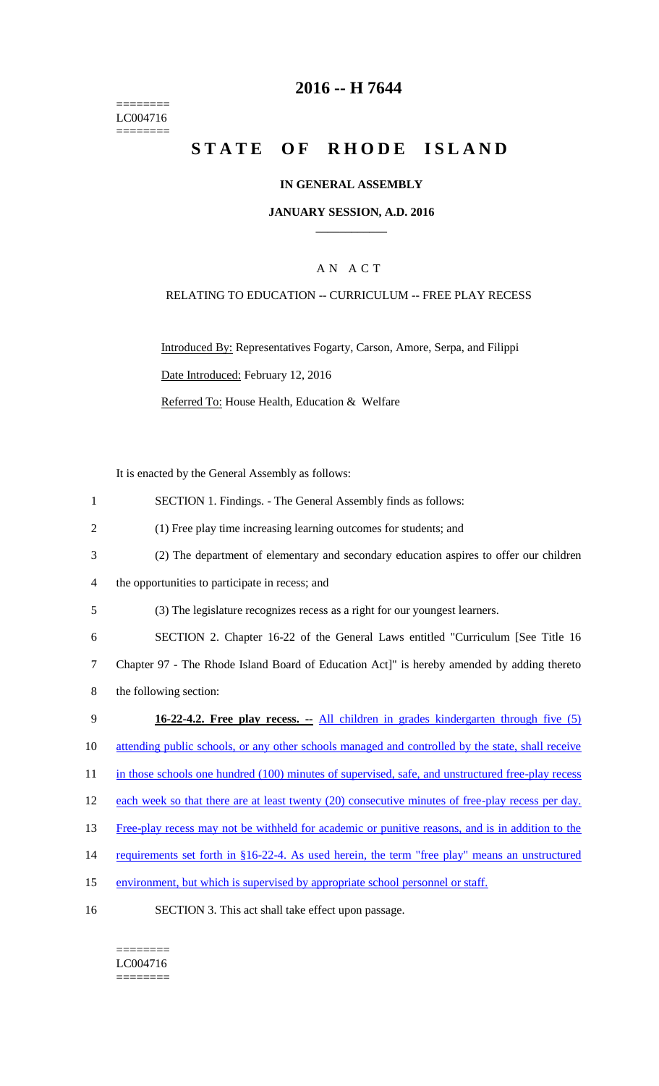======== LC004716  $=$ 

# **2016 -- H 7644**

# STATE OF RHODE ISLAND

### **IN GENERAL ASSEMBLY**

#### **JANUARY SESSION, A.D. 2016 \_\_\_\_\_\_\_\_\_\_\_\_**

### A N A C T

### RELATING TO EDUCATION -- CURRICULUM -- FREE PLAY RECESS

Introduced By: Representatives Fogarty, Carson, Amore, Serpa, and Filippi Date Introduced: February 12, 2016 Referred To: House Health, Education & Welfare

It is enacted by the General Assembly as follows:

| $\mathbf{1}$   | SECTION 1. Findings. - The General Assembly finds as follows:                                     |
|----------------|---------------------------------------------------------------------------------------------------|
| $\overline{2}$ | (1) Free play time increasing learning outcomes for students; and                                 |
| 3              | (2) The department of elementary and secondary education aspires to offer our children            |
| 4              | the opportunities to participate in recess; and                                                   |
| 5              | (3) The legislature recognizes recess as a right for our youngest learners.                       |
| 6              | SECTION 2. Chapter 16-22 of the General Laws entitled "Curriculum [See Title 16                   |
| 7              | Chapter 97 - The Rhode Island Board of Education Act]" is hereby amended by adding thereto        |
| 8              | the following section:                                                                            |
|                |                                                                                                   |
| 9              | <b>16-22-4.2. Free play recess.</b> - All children in grades kindergarten through five (5)        |
| 10             | attending public schools, or any other schools managed and controlled by the state, shall receive |
| 11             | in those schools one hundred (100) minutes of supervised, safe, and unstructured free-play recess |
| 12             | each week so that there are at least twenty (20) consecutive minutes of free-play recess per day. |
| 13             | Free-play recess may not be withheld for academic or punitive reasons, and is in addition to the  |
| 14             | requirements set forth in §16-22-4. As used herein, the term "free play" means an unstructured    |
| 15             | environment, but which is supervised by appropriate school personnel or staff.                    |

======== LC004716 ========